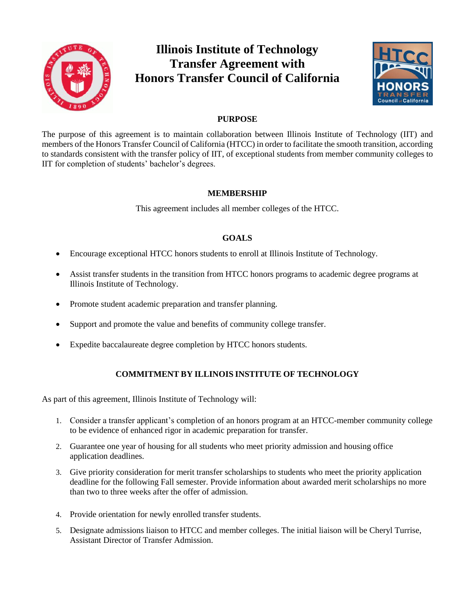

# **Illinois Institute of Technology Transfer Agreement with Honors Transfer Council of California**



## **PURPOSE**

The purpose of this agreement is to maintain collaboration between Illinois Institute of Technology (IIT) and members of the Honors Transfer Council of California (HTCC) in order to facilitate the smooth transition, according to standards consistent with the transfer policy of IIT, of exceptional students from member community colleges to IIT for completion of students' bachelor's degrees.

#### **MEMBERSHIP**

This agreement includes all member colleges of the HTCC.

## **GOALS**

- Encourage exceptional HTCC honors students to enroll at Illinois Institute of Technology.
- Assist transfer students in the transition from HTCC honors programs to academic degree programs at Illinois Institute of Technology.
- Promote student academic preparation and transfer planning.
- Support and promote the value and benefits of community college transfer.
- Expedite baccalaureate degree completion by HTCC honors students.

## **COMMITMENT BY ILLINOIS INSTITUTE OF TECHNOLOGY**

As part of this agreement, Illinois Institute of Technology will:

- 1. Consider a transfer applicant's completion of an honors program at an HTCC-member community college to be evidence of enhanced rigor in academic preparation for transfer.
- 2. Guarantee one year of housing for all students who meet priority admission and housing office application deadlines.
- 3. Give priority consideration for merit transfer scholarships to students who meet the priority application deadline for the following Fall semester. Provide information about awarded merit scholarships no more than two to three weeks after the offer of admission.
- 4. Provide orientation for newly enrolled transfer students.
- 5. Designate admissions liaison to HTCC and member colleges. The initial liaison will be Cheryl Turrise, Assistant Director of Transfer Admission.